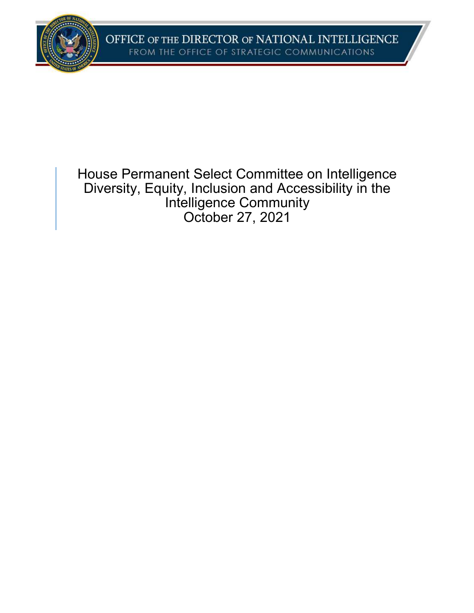

House Permanent Select Committee on Intelligence Diversity, Equity, Inclusion and Accessibility in the Intelligence Community October 27, 2021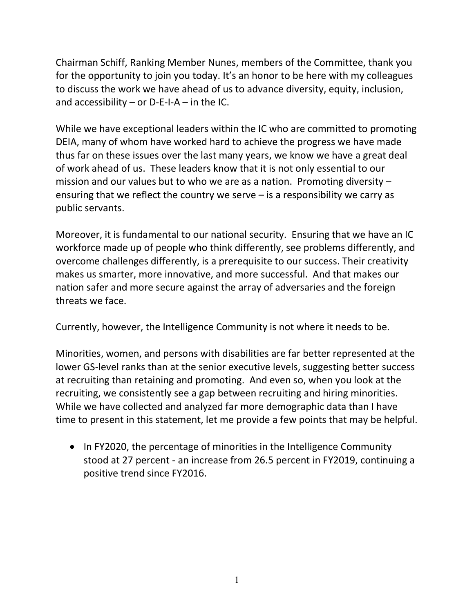Chairman Schiff, Ranking Member Nunes, members of the Committee, thank you for the opportunity to join you today. It's an honor to be here with my colleagues to discuss the work we have ahead of us to advance diversity, equity, inclusion, and accessibility – or  $D-E-I-A$  – in the IC.

While we have exceptional leaders within the IC who are committed to promoting DEIA, many of whom have worked hard to achieve the progress we have made thus far on these issues over the last many years, we know we have a great deal of work ahead of us. These leaders know that it is not only essential to our mission and our values but to who we are as a nation. Promoting diversity – ensuring that we reflect the country we serve – is a responsibility we carry as public servants.

Moreover, it is fundamental to our national security. Ensuring that we have an IC workforce made up of people who think differently, see problems differently, and overcome challenges differently, is a prerequisite to our success. Their creativity makes us smarter, more innovative, and more successful. And that makes our nation safer and more secure against the array of adversaries and the foreign threats we face.

Currently, however, the Intelligence Community is not where it needs to be.

Minorities, women, and persons with disabilities are far better represented at the lower GS-level ranks than at the senior executive levels, suggesting better success at recruiting than retaining and promoting. And even so, when you look at the recruiting, we consistently see a gap between recruiting and hiring minorities. While we have collected and analyzed far more demographic data than I have time to present in this statement, let me provide a few points that may be helpful.

• In FY2020, the percentage of minorities in the Intelligence Community stood at 27 percent - an increase from 26.5 percent in FY2019, continuing a positive trend since FY2016.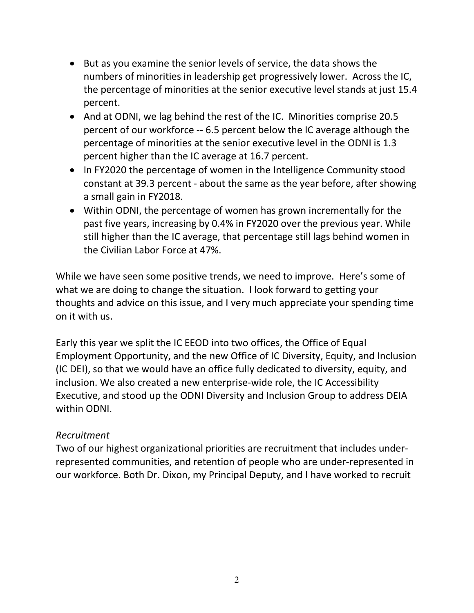- But as you examine the senior levels of service, the data shows the numbers of minorities in leadership get progressively lower. Across the IC, the percentage of minorities at the senior executive level stands at just 15.4 percent.
- And at ODNI, we lag behind the rest of the IC. Minorities comprise 20.5 percent of our workforce -- 6.5 percent below the IC average although the percentage of minorities at the senior executive level in the ODNI is 1.3 percent higher than the IC average at 16.7 percent.
- In FY2020 the percentage of women in the Intelligence Community stood constant at 39.3 percent - about the same as the year before, after showing a small gain in FY2018.
- Within ODNI, the percentage of women has grown incrementally for the past five years, increasing by 0.4% in FY2020 over the previous year. While still higher than the IC average, that percentage still lags behind women in the Civilian Labor Force at 47%.

While we have seen some positive trends, we need to improve. Here's some of what we are doing to change the situation. I look forward to getting your thoughts and advice on this issue, and I very much appreciate your spending time on it with us.

Early this year we split the IC EEOD into two offices, the Office of Equal Employment Opportunity, and the new Office of IC Diversity, Equity, and Inclusion (IC DEI), so that we would have an office fully dedicated to diversity, equity, and inclusion. We also created a new enterprise-wide role, the IC Accessibility Executive, and stood up the ODNI Diversity and Inclusion Group to address DEIA within ODNI.

## Recruitment

Two of our highest organizational priorities are recruitment that includes underrepresented communities, and retention of people who are under-represented in our workforce. Both Dr. Dixon, my Principal Deputy, and I have worked to recruit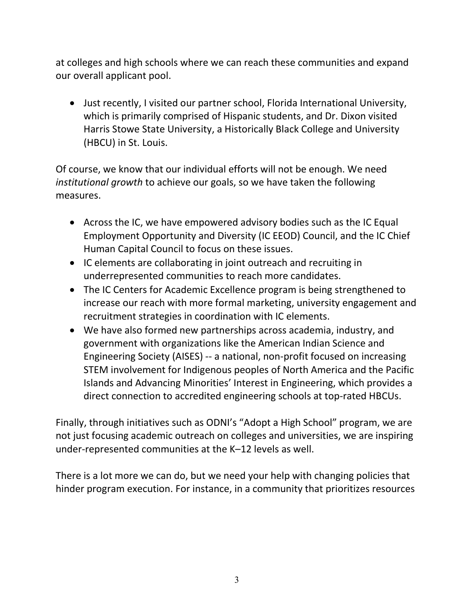at colleges and high schools where we can reach these communities and expand our overall applicant pool.

 Just recently, I visited our partner school, Florida International University, which is primarily comprised of Hispanic students, and Dr. Dixon visited Harris Stowe State University, a Historically Black College and University (HBCU) in St. Louis.

Of course, we know that our individual efforts will not be enough. We need institutional growth to achieve our goals, so we have taken the following measures.

- Across the IC, we have empowered advisory bodies such as the IC Equal Employment Opportunity and Diversity (IC EEOD) Council, and the IC Chief Human Capital Council to focus on these issues.
- IC elements are collaborating in joint outreach and recruiting in underrepresented communities to reach more candidates.
- The IC Centers for Academic Excellence program is being strengthened to increase our reach with more formal marketing, university engagement and recruitment strategies in coordination with IC elements.
- We have also formed new partnerships across academia, industry, and government with organizations like the American Indian Science and Engineering Society (AISES) -- a national, non-profit focused on increasing STEM involvement for Indigenous peoples of North America and the Pacific Islands and Advancing Minorities' Interest in Engineering, which provides a direct connection to accredited engineering schools at top-rated HBCUs.

Finally, through initiatives such as ODNI's "Adopt a High School" program, we are not just focusing academic outreach on colleges and universities, we are inspiring under-represented communities at the K–12 levels as well.

There is a lot more we can do, but we need your help with changing policies that hinder program execution. For instance, in a community that prioritizes resources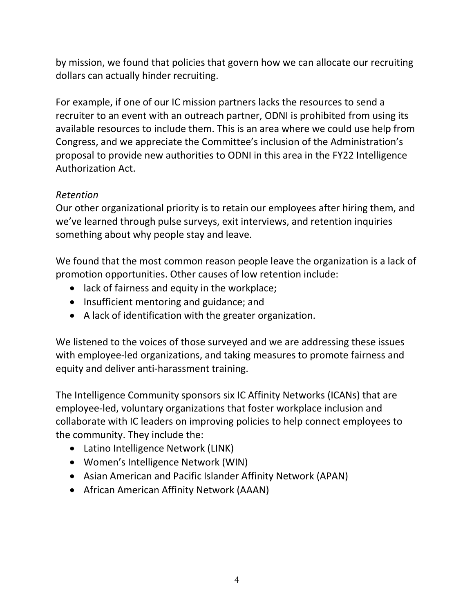by mission, we found that policies that govern how we can allocate our recruiting dollars can actually hinder recruiting.

For example, if one of our IC mission partners lacks the resources to send a recruiter to an event with an outreach partner, ODNI is prohibited from using its available resources to include them. This is an area where we could use help from Congress, and we appreciate the Committee's inclusion of the Administration's proposal to provide new authorities to ODNI in this area in the FY22 Intelligence Authorization Act.

## Retention

Our other organizational priority is to retain our employees after hiring them, and we've learned through pulse surveys, exit interviews, and retention inquiries something about why people stay and leave.

We found that the most common reason people leave the organization is a lack of promotion opportunities. Other causes of low retention include:

- lack of fairness and equity in the workplace;
- Insufficient mentoring and guidance; and
- A lack of identification with the greater organization.

We listened to the voices of those surveyed and we are addressing these issues with employee-led organizations, and taking measures to promote fairness and equity and deliver anti-harassment training.

The Intelligence Community sponsors six IC Affinity Networks (ICANs) that are employee-led, voluntary organizations that foster workplace inclusion and collaborate with IC leaders on improving policies to help connect employees to the community. They include the:

- Latino Intelligence Network (LINK)
- Women's Intelligence Network (WIN)
- Asian American and Pacific Islander Affinity Network (APAN)
- African American Affinity Network (AAAN)